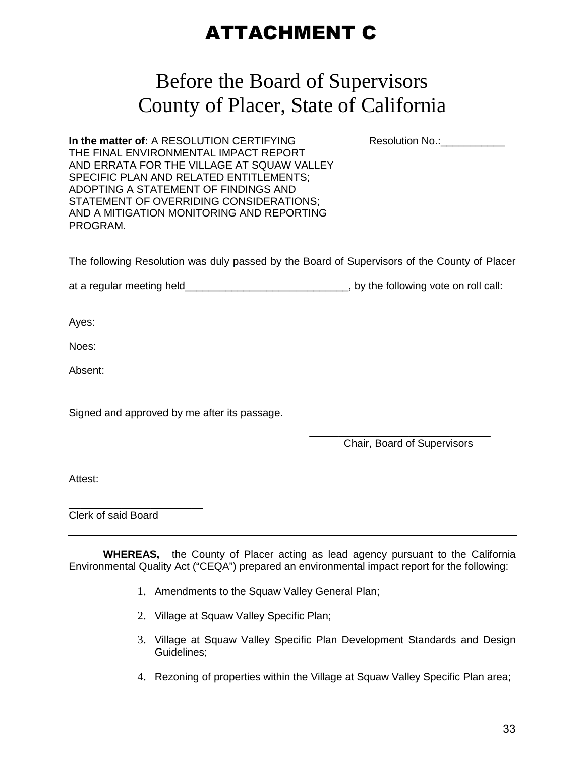## ATTACHMENT C

## Before the Board of Supervisors County of Placer, State of California

**In the matter of:** A RESOLUTION CERTIFYING Resolution No.: THE FINAL ENVIRONMENTAL IMPACT REPORT AND ERRATA FOR THE VILLAGE AT SQUAW VALLEY SPECIFIC PLAN AND RELATED ENTITLEMENTS; ADOPTING A STATEMENT OF FINDINGS AND STATEMENT OF OVERRIDING CONSIDERATIONS; AND A MITIGATION MONITORING AND REPORTING PROGRAM.

The following Resolution was duly passed by the Board of Supervisors of the County of Placer

at a regular meeting held\_\_\_\_\_\_\_\_\_\_\_\_\_\_\_\_\_\_\_\_\_\_\_\_\_\_\_\_\_\_, by the following vote on roll call:

Ayes:

Noes:

Absent:

Signed and approved by me after its passage.

 $\overline{\phantom{a}}$  , and the contract of the contract of the contract of the contract of the contract of the contract of the contract of the contract of the contract of the contract of the contract of the contract of the contrac Chair, Board of Supervisors

Attest:

\_\_\_\_\_\_\_\_\_\_\_\_\_\_\_\_\_\_\_\_\_\_\_ Clerk of said Board

**WHEREAS,** the County of Placer acting as lead agency pursuant to the California Environmental Quality Act ("CEQA") prepared an environmental impact report for the following:

- 1. Amendments to the Squaw Valley General Plan;
- 2. Village at Squaw Valley Specific Plan;
- 3. Village at Squaw Valley Specific Plan Development Standards and Design Guidelines;
- 4. Rezoning of properties within the Village at Squaw Valley Specific Plan area;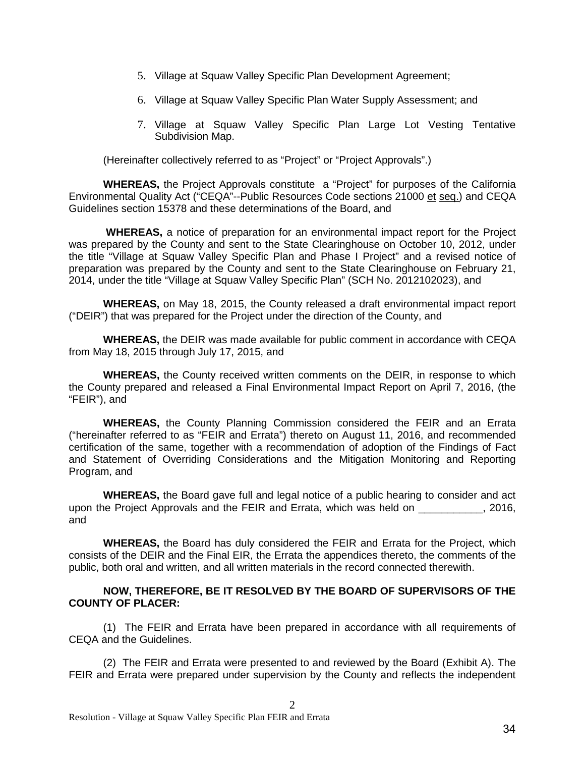- 5. Village at Squaw Valley Specific Plan Development Agreement;
- 6. Village at Squaw Valley Specific Plan Water Supply Assessment; and
- 7. Village at Squaw Valley Specific Plan Large Lot Vesting Tentative Subdivision Map.

(Hereinafter collectively referred to as "Project" or "Project Approvals".)

**WHEREAS,** the Project Approvals constitute a "Project" for purposes of the California Environmental Quality Act ("CEQA"--Public Resources Code sections 21000 et seq.) and CEQA Guidelines section 15378 and these determinations of the Board, and

 **WHEREAS,** a notice of preparation for an environmental impact report for the Project was prepared by the County and sent to the State Clearinghouse on October 10, 2012, under the title "Village at Squaw Valley Specific Plan and Phase I Project" and a revised notice of preparation was prepared by the County and sent to the State Clearinghouse on February 21, 2014, under the title "Village at Squaw Valley Specific Plan" (SCH No. 2012102023), and

**WHEREAS,** on May 18, 2015, the County released a draft environmental impact report ("DEIR") that was prepared for the Project under the direction of the County, and

**WHEREAS,** the DEIR was made available for public comment in accordance with CEQA from May 18, 2015 through July 17, 2015, and

**WHEREAS,** the County received written comments on the DEIR, in response to which the County prepared and released a Final Environmental Impact Report on April 7, 2016, (the "FEIR"), and

**WHEREAS,** the County Planning Commission considered the FEIR and an Errata ("hereinafter referred to as "FEIR and Errata") thereto on August 11, 2016, and recommended certification of the same, together with a recommendation of adoption of the Findings of Fact and Statement of Overriding Considerations and the Mitigation Monitoring and Reporting Program, and

**WHEREAS,** the Board gave full and legal notice of a public hearing to consider and act upon the Project Approvals and the FEIR and Errata, which was held on \_\_\_\_\_\_\_\_\_\_\_, 2016, and

**WHEREAS,** the Board has duly considered the FEIR and Errata for the Project, which consists of the DEIR and the Final EIR, the Errata the appendices thereto, the comments of the public, both oral and written, and all written materials in the record connected therewith.

## **NOW, THEREFORE, BE IT RESOLVED BY THE BOARD OF SUPERVISORS OF THE COUNTY OF PLACER:**

(1) The FEIR and Errata have been prepared in accordance with all requirements of CEQA and the Guidelines.

(2) The FEIR and Errata were presented to and reviewed by the Board (Exhibit A). The FEIR and Errata were prepared under supervision by the County and reflects the independent

 $\mathcal{D}_{\mathcal{L}}$